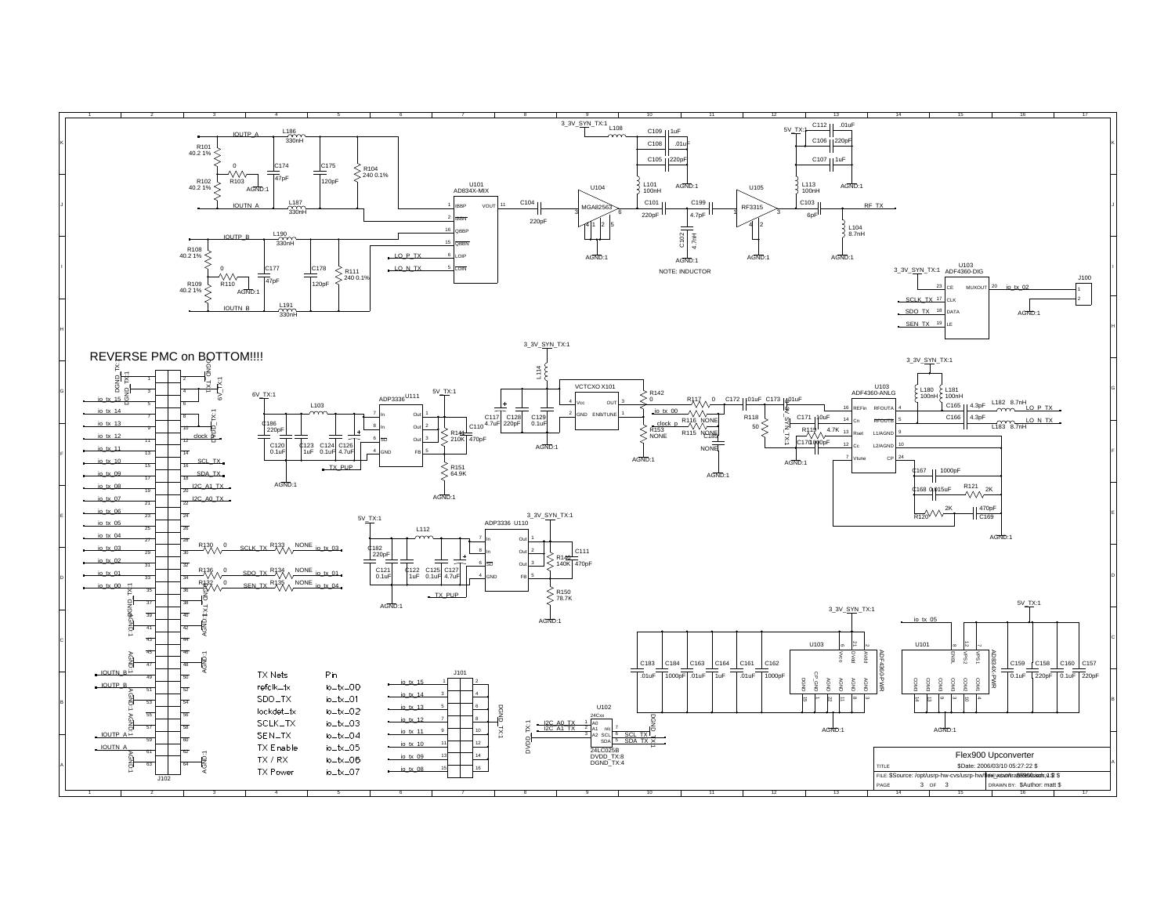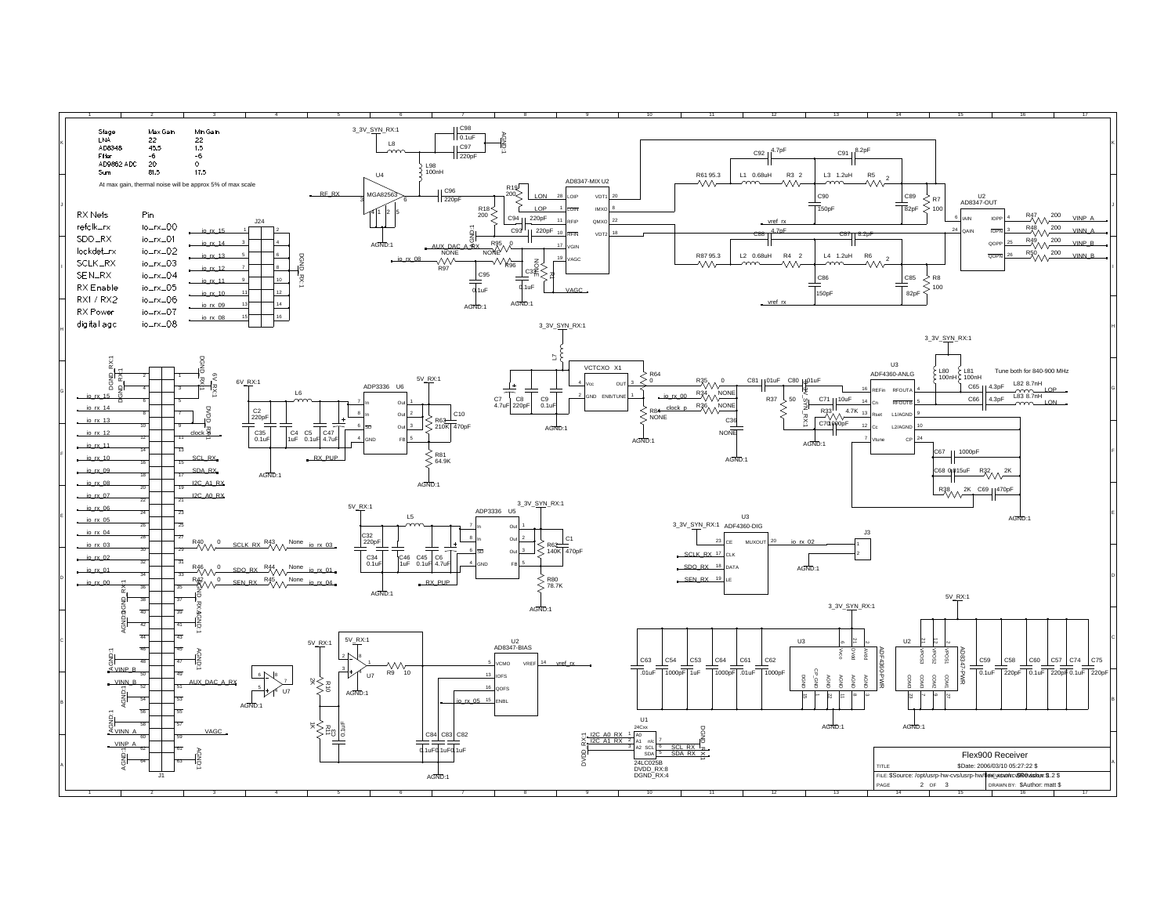